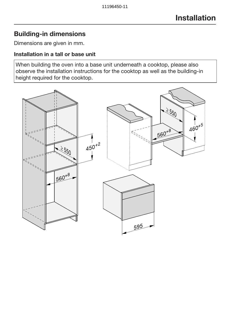## Building-in dimensions

Dimensions are given in mm.

#### Installation in a tall or base unit

When building the oven into a base unit underneath a cooktop, please also observe the installation instructions for the cooktop as well as the building-in height required for the cooktop.

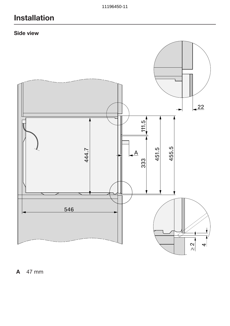# Installation

### Side view



A 47 mm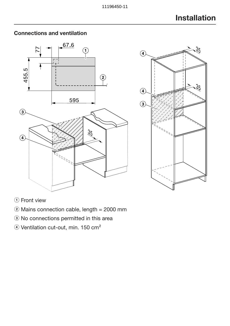

## Connections and ventilation



(1) Front view

- $\ddot{2}$  Mains connection cable, length = 2000 mm
- <sup>3</sup> No connections permitted in this area
- 4) Ventilation cut-out, min. 150 cm<sup>2</sup>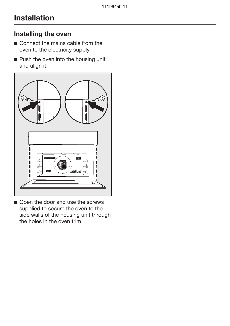# Installation

#### Installing the oven

- Connect the mains cable from the oven to the electricity supply.
- **Push the oven into the housing unit** and align it.



Open the door and use the screws supplied to secure the oven to the side walls of the housing unit through the holes in the oven trim.